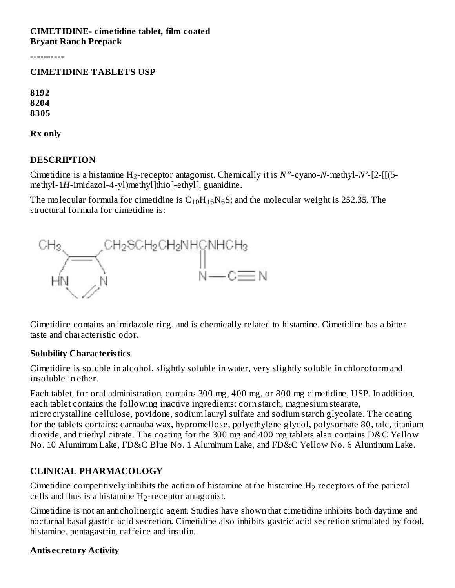#### **CIMETIDINE- cimetidine tablet, film coated Bryant Ranch Prepack**

----------

#### **CIMETIDINE TABLETS USP**

**8192 8204 8305**

**Rx only**

#### **DESCRIPTION**

Cimetidine is a histamine  $H_2$ -receptor antagonist. Chemically it is  $N$ "-cyano- $N$ -methyl- $N$ '-[2-[[(5methyl-1*H*-imidazol-4-yl)methyl]thio]-ethyl], guanidine.

The molecular formula for cimetidine is  $\rm C_{10}H_{16}N_6S;$  and the molecular weight is 252.35. The structural formula for cimetidine is:



Cimetidine contains an imidazole ring, and is chemically related to histamine. Cimetidine has a bitter taste and characteristic odor.

#### **Solubility Characteristics**

Cimetidine is soluble in alcohol, slightly soluble in water, very slightly soluble in chloroform and insoluble in ether.

Each tablet, for oral administration, contains 300 mg, 400 mg, or 800 mg cimetidine, USP. In addition, each tablet contains the following inactive ingredients: corn starch, magnesium stearate, microcrystalline cellulose, povidone, sodium lauryl sulfate and sodium starch glycolate. The coating for the tablets contains: carnauba wax, hypromellose, polyethylene glycol, polysorbate 80, talc, titanium dioxide, and triethyl citrate. The coating for the 300 mg and 400 mg tablets also contains D&C Yellow No. 10 Aluminum Lake, FD&C Blue No. 1 Aluminum Lake, and FD&C Yellow No. 6 Aluminum Lake.

#### **CLINICAL PHARMACOLOGY**

Cimetidine competitively inhibits the action of histamine at the histamine  $H_2$  receptors of the parietal cells and thus is a histamine  $H_2$ -receptor antagonist.

Cimetidine is not an anticholinergic agent. Studies have shown that cimetidine inhibits both daytime and nocturnal basal gastric acid secretion. Cimetidine also inhibits gastric acid secretion stimulated by food, histamine, pentagastrin, caffeine and insulin.

#### **Antis ecretory Activity**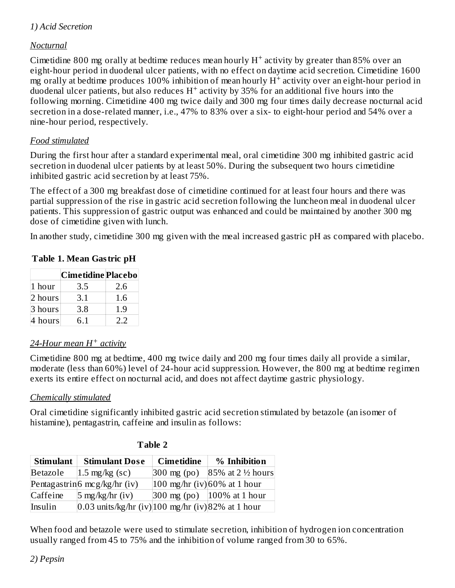## *1) Acid Secretion*

#### *Nocturnal*

Cimetidine 800 mg orally at bedtime reduces mean hourly  $H^+$  activity by greater than 85% over an eight-hour period in duodenal ulcer patients, with no effect on daytime acid secretion. Cimetidine 1600  $\rm m\bar{g}$  orally at bedtime produces 100% inhibition of mean hourly  $\rm H^+$  activity over an eight-hour period in duodenal ulcer patients, but also reduces  $H^+$  activity by 35% for an additional five hours into the following morning. Cimetidine 400 mg twice daily and 300 mg four times daily decrease nocturnal acid secretion in a dose-related manner, i.e., 47% to 83% over a six- to eight-hour period and 54% over a nine-hour period, respectively.

#### *Food stimulated*

During the first hour after a standard experimental meal, oral cimetidine 300 mg inhibited gastric acid secretion in duodenal ulcer patients by at least 50%. During the subsequent two hours cimetidine inhibited gastric acid secretion by at least 75%.

The effect of a 300 mg breakfast dose of cimetidine continued for at least four hours and there was partial suppression of the rise in gastric acid secretion following the luncheon meal in duodenal ulcer patients. This suppression of gastric output was enhanced and could be maintained by another 300 mg dose of cimetidine given with lunch.

In another study, cimetidine 300 mg given with the meal increased gastric pH as compared with placebo.

|         | $10010 + 10110$ and $000$ and $011$ |     |
|---------|-------------------------------------|-----|
|         | <b>Cimetidine Placebo</b>           |     |
| 1 hour  | 3.5                                 | 2.6 |
| 2 hours | 3.1                                 | 1.6 |

#### **Table 1. Mean Gastric pH**

## *24-Hour mean H activity +*

 $3 \text{ hours}$   $3.8$  | 1.9  $4 \text{ hours}$  6.1 2.2

Cimetidine 800 mg at bedtime, 400 mg twice daily and 200 mg four times daily all provide a similar, moderate (less than 60%) level of 24-hour acid suppression. However, the 800 mg at bedtime regimen exerts its entire effect on nocturnal acid, and does not affect daytime gastric physiology.

#### *Chemically stimulated*

Oral cimetidine significantly inhibited gastric acid secretion stimulated by betazole (an isomer of histamine), pentagastrin, caffeine and insulin as follows:

| <b>Stimulant</b> | <b>Stimulant Dose</b>                                          | <b>Cimetidine</b>     | % Inhibition                                              |
|------------------|----------------------------------------------------------------|-----------------------|-----------------------------------------------------------|
| Betazole         | $1.5 \text{ mg/kg}$ (sc)                                       | $300 \text{ mg}$ (po) | 85% at 2 ½ hours                                          |
|                  | Pentagastrin $6 \text{ mcg/kg/hr}$ (iv)                        |                       | $100$ mg/hr (iv) 60% at 1 hour                            |
| Caffeine         | $5 \text{ mg/kg/hr}$ (iv)                                      |                       | $ 300 \text{ mg (po)}   100\% \text{ at } 1 \text{ hour}$ |
| Insulin          | $[0.03 \text{ units/kg/hr (iv)}]$ 100 mg/hr (iv) 82% at 1 hour |                       |                                                           |

#### **Table 2**

When food and betazole were used to stimulate secretion, inhibition of hydrogen ion concentration usually ranged from 45 to 75% and the inhibition of volume ranged from 30 to 65%.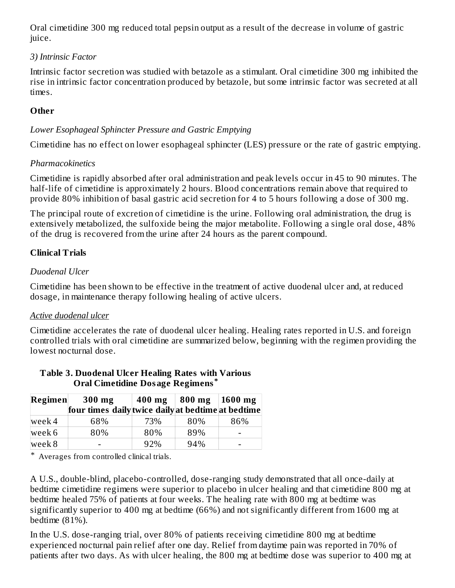Oral cimetidine 300 mg reduced total pepsin output as a result of the decrease in volume of gastric juice.

### *3) Intrinsic Factor*

Intrinsic factor secretion was studied with betazole as a stimulant. Oral cimetidine 300 mg inhibited the rise in intrinsic factor concentration produced by betazole, but some intrinsic factor was secreted at all times.

## **Other**

### *Lower Esophageal Sphincter Pressure and Gastric Emptying*

Cimetidine has no effect on lower esophageal sphincter (LES) pressure or the rate of gastric emptying.

### *Pharmacokinetics*

Cimetidine is rapidly absorbed after oral administration and peak levels occur in 45 to 90 minutes. The half-life of cimetidine is approximately 2 hours. Blood concentrations remain above that required to provide 80% inhibition of basal gastric acid secretion for 4 to 5 hours following a dose of 300 mg.

The principal route of excretion of cimetidine is the urine. Following oral administration, the drug is extensively metabolized, the sulfoxide being the major metabolite. Following a single oral dose, 48% of the drug is recovered from the urine after 24 hours as the parent compound.

## **Clinical Trials**

## *Duodenal Ulcer*

Cimetidine has been shown to be effective in the treatment of active duodenal ulcer and, at reduced dosage, in maintenance therapy following healing of active ulcers.

## *Active duodenal ulcer*

Cimetidine accelerates the rate of duodenal ulcer healing. Healing rates reported in U.S. and foreign controlled trials with oral cimetidine are summarized below, beginning with the regimen providing the lowest nocturnal dose.

| Regimen | $300$ mg                                           | $400$ mg | $ 800 \text{ mg}$   1600 mg |     |  |
|---------|----------------------------------------------------|----------|-----------------------------|-----|--|
|         | four times daily twice daily at bedtime at bedtime |          |                             |     |  |
| week 4  | 68%                                                | 73%      | 80%                         | 86% |  |
| week 6  | 80%                                                | 80%      | 89%                         | -   |  |
| week 8  | -                                                  | 92%      | 94%                         | -   |  |

#### **Table 3. Duodenal Ulcer Healing Rates with Various Oral Cimetidine Dosage Regimens \***

\* Averages from controlled clinical trials.

A U.S., double-blind, placebo-controlled, dose-ranging study demonstrated that all once-daily at bedtime cimetidine regimens were superior to placebo in ulcer healing and that cimetidine 800 mg at bedtime healed 75% of patients at four weeks. The healing rate with 800 mg at bedtime was significantly superior to 400 mg at bedtime (66%) and not significantly different from 1600 mg at bedtime (81%).

In the U.S. dose-ranging trial, over 80% of patients receiving cimetidine 800 mg at bedtime experienced nocturnal pain relief after one day. Relief from daytime pain was reported in 70% of patients after two days. As with ulcer healing, the 800 mg at bedtime dose was superior to 400 mg at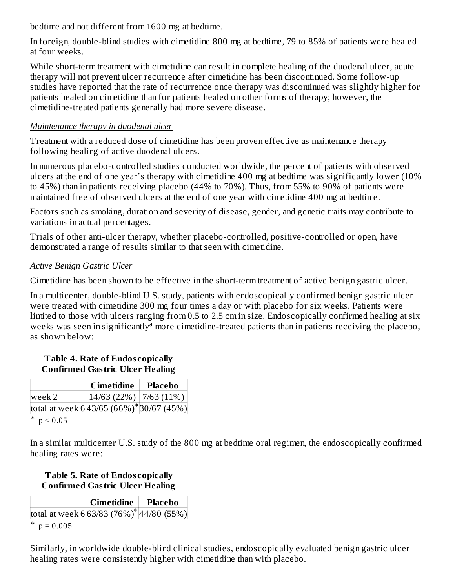bedtime and not different from 1600 mg at bedtime.

In foreign, double-blind studies with cimetidine 800 mg at bedtime, 79 to 85% of patients were healed at four weeks.

While short-term treatment with cimetidine can result in complete healing of the duodenal ulcer, acute therapy will not prevent ulcer recurrence after cimetidine has been discontinued. Some follow-up studies have reported that the rate of recurrence once therapy was discontinued was slightly higher for patients healed on cimetidine than for patients healed on other forms of therapy; however, the cimetidine-treated patients generally had more severe disease.

## *Maintenance therapy in duodenal ulcer*

Treatment with a reduced dose of cimetidine has been proven effective as maintenance therapy following healing of active duodenal ulcers.

In numerous placebo-controlled studies conducted worldwide, the percent of patients with observed ulcers at the end of one year's therapy with cimetidine 400 mg at bedtime was significantly lower (10% to 45%) than in patients receiving placebo (44% to 70%). Thus, from 55% to 90% of patients were maintained free of observed ulcers at the end of one year with cimetidine 400 mg at bedtime.

Factors such as smoking, duration and severity of disease, gender, and genetic traits may contribute to variations in actual percentages.

Trials of other anti-ulcer therapy, whether placebo-controlled, positive-controlled or open, have demonstrated a range of results similar to that seen with cimetidine.

## *Active Benign Gastric Ulcer*

Cimetidine has been shown to be effective in the short-term treatment of active benign gastric ulcer.

In a multicenter, double-blind U.S. study, patients with endoscopically confirmed benign gastric ulcer were treated with cimetidine 300 mg four times a day or with placebo for six weeks. Patients were limited to those with ulcers ranging from 0.5 to 2.5 cm in size. Endoscopically confirmed healing at six weeks was seen in significantly<sup>a</sup> more cimetidine-treated patients than in patients receiving the placebo, as shown below:

#### **Table 4. Rate of Endos copically Confirmed Gastric Ulcer Healing**

|                                                           | <b>Cimetidine</b>                                                     | <b>Placebo</b> |
|-----------------------------------------------------------|-----------------------------------------------------------------------|----------------|
| week 2                                                    | $\left  \frac{14}{63} \left( \frac{22}{6} \right) \right $ 7/63 (11%) |                |
| total at week $6 43/65 (66%)$ <sup>*</sup> $ 30/67 (45%)$ |                                                                       |                |
| * $p < 0.05$                                              |                                                                       |                |

In a similar multicenter U.S. study of the 800 mg at bedtime oral regimen, the endoscopically confirmed healing rates were:

### **Table 5. Rate of Endos copically Confirmed Gastric Ulcer Healing**

|   |                                 | Cimetidine   Placebo                                    |  |
|---|---------------------------------|---------------------------------------------------------|--|
|   |                                 | total at week $6 63/83(76%)$ <sup>*</sup> $ 44/80(55%)$ |  |
| ∗ | $\circ$ $\circ$ $\circ$ $\circ$ |                                                         |  |

\*  $p = 0.005$ 

Similarly, in worldwide double-blind clinical studies, endoscopically evaluated benign gastric ulcer healing rates were consistently higher with cimetidine than with placebo.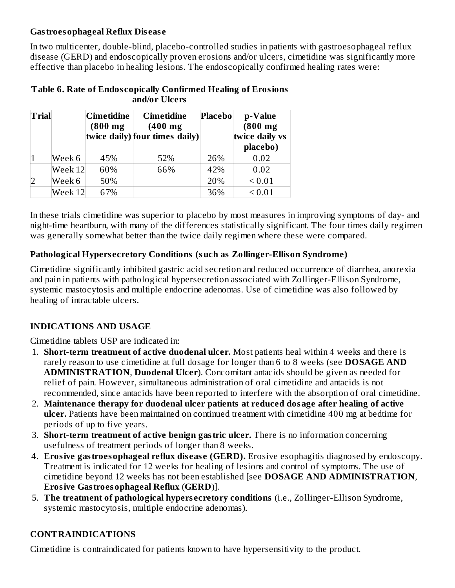#### **Gastroesophageal Reflux Dis eas e**

In two multicenter, double-blind, placebo-controlled studies in patients with gastroesophageal reflux disease (GERD) and endoscopically proven erosions and/or ulcers, cimetidine was significantly more effective than placebo in healing lesions. The endoscopically confirmed healing rates were:

| Table 6. Rate of Endoscopically Confirmed Healing of Erosions |
|---------------------------------------------------------------|
| and/or Ulcers                                                 |

| Trial          |         | Cimetidine<br>$(800 \text{ mg})$ | <b>Cimetidine</b><br>$(400$ mg<br>twice daily) four times daily) | <b>Placebo</b> | p-Value<br>$(800$ mg<br>twice daily vs<br>placebo) |
|----------------|---------|----------------------------------|------------------------------------------------------------------|----------------|----------------------------------------------------|
|                | Week 6  | 45%                              | 52%                                                              | 26%            | 0.02                                               |
|                | Week 12 | 60%                              | 66%                                                              | 42%            | 0.02                                               |
| $\overline{2}$ | Week 6  | 50%                              |                                                                  | 20%            | ${}_{0.01}$                                        |
|                | Week 12 | 67%                              |                                                                  | 36%            | ${}< 0.01$                                         |

In these trials cimetidine was superior to placebo by most measures in improving symptoms of day- and night-time heartburn, with many of the differences statistically significant. The four times daily regimen was generally somewhat better than the twice daily regimen where these were compared.

#### **Pathological Hypers ecretory Conditions (such as Zollinger-Ellison Syndrome)**

Cimetidine significantly inhibited gastric acid secretion and reduced occurrence of diarrhea, anorexia and pain in patients with pathological hypersecretion associated with Zollinger-Ellison Syndrome, systemic mastocytosis and multiple endocrine adenomas. Use of cimetidine was also followed by healing of intractable ulcers.

## **INDICATIONS AND USAGE**

Cimetidine tablets USP are indicated in:

- 1. **Short-term treatment of active duodenal ulcer.** Most patients heal within 4 weeks and there is rarely reason to use cimetidine at full dosage for longer than 6 to 8 weeks (see **DOSAGE AND ADMINISTRATION**, **Duodenal Ulcer**). Concomitant antacids should be given as needed for relief of pain. However, simultaneous administration of oral cimetidine and antacids is not recommended, since antacids have been reported to interfere with the absorption of oral cimetidine.
- 2. **Maintenance therapy for duodenal ulcer patients at reduced dosage after healing of active ulcer.** Patients have been maintained on continued treatment with cimetidine 400 mg at bedtime for periods of up to five years.
- 3. **Short-term treatment of active benign gastric ulcer.** There is no information concerning usefulness of treatment periods of longer than 8 weeks.
- 4. **Erosive gastroesophageal reflux dis eas e (GERD).** Erosive esophagitis diagnosed by endoscopy. Treatment is indicated for 12 weeks for healing of lesions and control of symptoms. The use of cimetidine beyond 12 weeks has not been established [see **DOSAGE AND ADMINISTRATION**, **Erosive Gastroesophageal Reflux** (**GERD**)].
- 5. **The treatment of pathological hypers ecretory conditions** (i.e., Zollinger-Ellison Syndrome, systemic mastocytosis, multiple endocrine adenomas).

## **CONTRAINDICATIONS**

Cimetidine is contraindicated for patients known to have hypersensitivity to the product.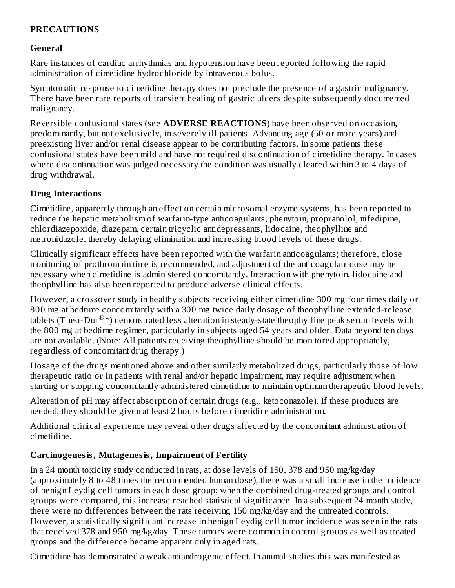## **PRECAUTIONS**

### **General**

Rare instances of cardiac arrhythmias and hypotension have been reported following the rapid administration of cimetidine hydrochloride by intravenous bolus.

Symptomatic response to cimetidine therapy does not preclude the presence of a gastric malignancy. There have been rare reports of transient healing of gastric ulcers despite subsequently documented malignancy.

Reversible confusional states (see **ADVERSE REACTIONS**) have been observed on occasion, predominantly, but not exclusively, in severely ill patients. Advancing age (50 or more years) and preexisting liver and/or renal disease appear to be contributing factors. In some patients these confusional states have been mild and have not required discontinuation of cimetidine therapy. In cases where discontinuation was judged necessary the condition was usually cleared within 3 to 4 days of drug withdrawal.

#### **Drug Interactions**

Cimetidine, apparently through an effect on certain microsomal enzyme systems, has been reported to reduce the hepatic metabolism of warfarin-type anticoagulants, phenytoin, propranolol, nifedipine, chlordiazepoxide, diazepam, certain tricyclic antidepressants, lidocaine, theophylline and metronidazole, thereby delaying elimination and increasing blood levels of these drugs.

Clinically significant effects have been reported with the warfarin anticoagulants; therefore, close monitoring of prothrombin time is recommended, and adjustment of the anticoagulant dose may be necessary when cimetidine is administered concomitantly. Interaction with phenytoin, lidocaine and theophylline has also been reported to produce adverse clinical effects.

However, a crossover study in healthy subjects receiving either cimetidine 300 mg four times daily or 800 mg at bedtime concomitantly with a 300 mg twice daily dosage of theophylline extended-release tablets (Theo-Dur $^{\circledR}$ \*) demonstrated less alteration in steady-state theophylline peak serum levels with the 800 mg at bedtime regimen, particularly in subjects aged 54 years and older. Data beyond ten days are not available. (Note: All patients receiving theophylline should be monitored appropriately, regardless of concomitant drug therapy.)

Dosage of the drugs mentioned above and other similarly metabolized drugs, particularly those of low therapeutic ratio or in patients with renal and/or hepatic impairment, may require adjustment when starting or stopping concomitantly administered cimetidine to maintain optimum therapeutic blood levels.

Alteration of pH may affect absorption of certain drugs (e.g., ketoconazole). If these products are needed, they should be given at least 2 hours before cimetidine administration.

Additional clinical experience may reveal other drugs affected by the concomitant administration of cimetidine.

## **Carcinogenesis, Mutagenesis, Impairment of Fertility**

In a 24 month toxicity study conducted in rats, at dose levels of 150, 378 and 950 mg/kg/day (approximately 8 to 48 times the recommended human dose), there was a small increase in the incidence of benign Leydig cell tumors in each dose group; when the combined drug-treated groups and control groups were compared, this increase reached statistical significance. In a subsequent 24 month study, there were no differences between the rats receiving 150 mg/kg/day and the untreated controls. However, a statistically significant increase in benign Leydig cell tumor incidence was seen in the rats that received 378 and 950 mg/kg/day. These tumors were common in control groups as well as treated groups and the difference became apparent only in aged rats.

Cimetidine has demonstrated a weak antiandrogenic effect. In animal studies this was manifested as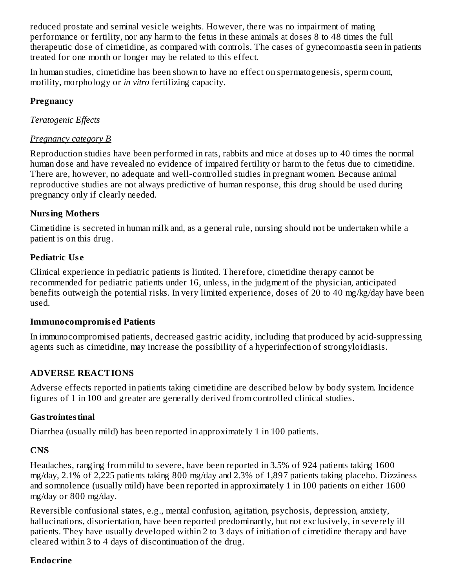reduced prostate and seminal vesicle weights. However, there was no impairment of mating performance or fertility, nor any harm to the fetus in these animals at doses 8 to 48 times the full therapeutic dose of cimetidine, as compared with controls. The cases of gynecomoastia seen in patients treated for one month or longer may be related to this effect.

In human studies, cimetidine has been shown to have no effect on spermatogenesis, sperm count, motility, morphology or *in vitro* fertilizing capacity.

### **Pregnancy**

*Teratogenic Effects*

## *Pregnancy category B*

Reproduction studies have been performed in rats, rabbits and mice at doses up to 40 times the normal human dose and have revealed no evidence of impaired fertility or harm to the fetus due to cimetidine. There are, however, no adequate and well-controlled studies in pregnant women. Because animal reproductive studies are not always predictive of human response, this drug should be used during pregnancy only if clearly needed.

## **Nursing Mothers**

Cimetidine is secreted in human milk and, as a general rule, nursing should not be undertaken while a patient is on this drug.

## **Pediatric Us e**

Clinical experience in pediatric patients is limited. Therefore, cimetidine therapy cannot be recommended for pediatric patients under 16, unless, in the judgment of the physician, anticipated benefits outweigh the potential risks. In very limited experience, doses of 20 to 40 mg/kg/day have been used.

#### **Immunocompromis ed Patients**

In immunocompromised patients, decreased gastric acidity, including that produced by acid-suppressing agents such as cimetidine, may increase the possibility of a hyperinfection of strongyloidiasis.

## **ADVERSE REACTIONS**

Adverse effects reported in patients taking cimetidine are described below by body system. Incidence figures of 1 in 100 and greater are generally derived from controlled clinical studies.

## **Gastrointestinal**

Diarrhea (usually mild) has been reported in approximately 1 in 100 patients.

## **CNS**

Headaches, ranging from mild to severe, have been reported in 3.5% of 924 patients taking 1600 mg/day, 2.1% of 2,225 patients taking 800 mg/day and 2.3% of 1,897 patients taking placebo. Dizziness and somnolence (usually mild) have been reported in approximately 1 in 100 patients on either 1600 mg/day or 800 mg/day.

Reversible confusional states, e.g., mental confusion, agitation, psychosis, depression, anxiety, hallucinations, disorientation, have been reported predominantly, but not exclusively, in severely ill patients. They have usually developed within 2 to 3 days of initiation of cimetidine therapy and have cleared within 3 to 4 days of discontinuation of the drug.

#### **Endocrine**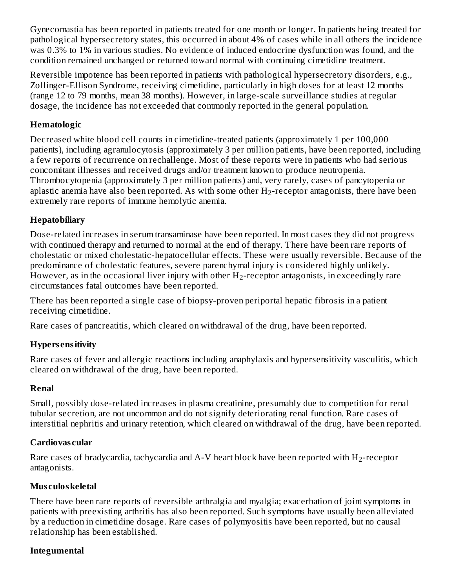Gynecomastia has been reported in patients treated for one month or longer. In patients being treated for pathological hypersecretory states, this occurred in about 4% of cases while in all others the incidence was 0.3% to 1% in various studies. No evidence of induced endocrine dysfunction was found, and the condition remained unchanged or returned toward normal with continuing cimetidine treatment.

Reversible impotence has been reported in patients with pathological hypersecretory disorders, e.g., Zollinger-Ellison Syndrome, receiving cimetidine, particularly in high doses for at least 12 months (range 12 to 79 months, mean 38 months). However, in large-scale surveillance studies at regular dosage, the incidence has not exceeded that commonly reported in the general population.

### **Hematologic**

Decreased white blood cell counts in cimetidine-treated patients (approximately 1 per 100,000 patients), including agranulocytosis (approximately 3 per million patients, have been reported, including a few reports of recurrence on rechallenge. Most of these reports were in patients who had serious concomitant illnesses and received drugs and/or treatment known to produce neutropenia. Thrombocytopenia (approximately 3 per million patients) and, very rarely, cases of pancytopenia or aplastic anemia have also been reported. As with some other  $\rm H_2$ -receptor antagonists, there have been extremely rare reports of immune hemolytic anemia.

### **Hepatobiliary**

Dose-related increases in serum transaminase have been reported. In most cases they did not progress with continued therapy and returned to normal at the end of therapy. There have been rare reports of cholestatic or mixed cholestatic-hepatocellular effects. These were usually reversible. Because of the predominance of cholestatic features, severe parenchymal injury is considered highly unlikely. However, as in the occasional liver injury with other  $\rm H_2$ -receptor antagonists, in exceedingly rare circumstances fatal outcomes have been reported.

There has been reported a single case of biopsy-proven periportal hepatic fibrosis in a patient receiving cimetidine.

Rare cases of pancreatitis, which cleared on withdrawal of the drug, have been reported.

#### **Hypers ensitivity**

Rare cases of fever and allergic reactions including anaphylaxis and hypersensitivity vasculitis, which cleared on withdrawal of the drug, have been reported.

#### **Renal**

Small, possibly dose-related increases in plasma creatinine, presumably due to competition for renal tubular secretion, are not uncommon and do not signify deteriorating renal function. Rare cases of interstitial nephritis and urinary retention, which cleared on withdrawal of the drug, have been reported.

#### **Cardiovas cular**

Rare cases of bradycardia, tachycardia and A-V heart block have been reported with  $\rm H_2$ -receptor antagonists.

#### **Mus culoskeletal**

There have been rare reports of reversible arthralgia and myalgia; exacerbation of joint symptoms in patients with preexisting arthritis has also been reported. Such symptoms have usually been alleviated by a reduction in cimetidine dosage. Rare cases of polymyositis have been reported, but no causal relationship has been established.

## **Integumental**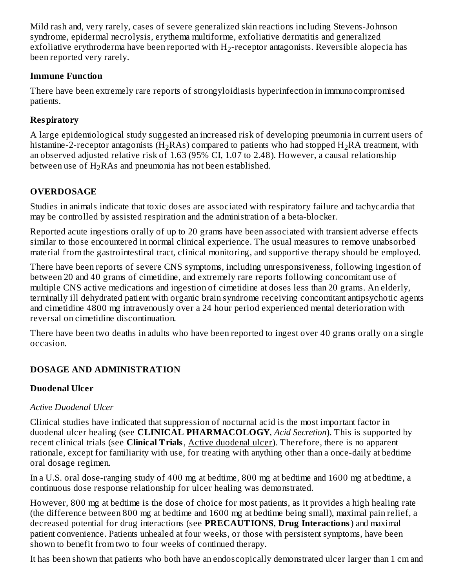Mild rash and, very rarely, cases of severe generalized skin reactions including Stevens-Johnson syndrome, epidermal necrolysis, erythema multiforme, exfoliative dermatitis and generalized exfoliative erythroderma have been reported with  $\rm H_2$ -receptor antagonists. Reversible alopecia has been reported very rarely.

### **Immune Function**

There have been extremely rare reports of strongyloidiasis hyperinfection in immunocompromised patients.

# **Respiratory**

A large epidemiological study suggested an increased risk of developing pneumonia in current users of histamine-2-receptor antagonists (H<sub>2</sub>RAs) compared to patients who had stopped H<sub>2</sub>RA treatment, with an observed adjusted relative risk of 1.63 (95% CI, 1.07 to 2.48). However, a causal relationship between use of  $\rm H_2RAs$  and pneumonia has not been established.

# **OVERDOSAGE**

Studies in animals indicate that toxic doses are associated with respiratory failure and tachycardia that may be controlled by assisted respiration and the administration of a beta-blocker.

Reported acute ingestions orally of up to 20 grams have been associated with transient adverse effects similar to those encountered in normal clinical experience. The usual measures to remove unabsorbed material from the gastrointestinal tract, clinical monitoring, and supportive therapy should be employed.

There have been reports of severe CNS symptoms, including unresponsiveness, following ingestion of between 20 and 40 grams of cimetidine, and extremely rare reports following concomitant use of multiple CNS active medications and ingestion of cimetidine at doses less than 20 grams. An elderly, terminally ill dehydrated patient with organic brain syndrome receiving concomitant antipsychotic agents and cimetidine 4800 mg intravenously over a 24 hour period experienced mental deterioration with reversal on cimetidine discontinuation.

There have been two deaths in adults who have been reported to ingest over 40 grams orally on a single occasion.

# **DOSAGE AND ADMINISTRATION**

# **Duodenal Ulcer**

# *Active Duodenal Ulcer*

Clinical studies have indicated that suppression of nocturnal acid is the most important factor in duodenal ulcer healing (see **CLINICAL PHARMACOLOGY**, *Acid Secretion*). This is supported by recent clinical trials (see **Clinical Trials**, Active duodenal ulcer). Therefore, there is no apparent rationale, except for familiarity with use, for treating with anything other than a once-daily at bedtime oral dosage regimen.

In a U.S. oral dose-ranging study of 400 mg at bedtime, 800 mg at bedtime and 1600 mg at bedtime, a continuous dose response relationship for ulcer healing was demonstrated.

However, 800 mg at bedtime is the dose of choice for most patients, as it provides a high healing rate (the difference between 800 mg at bedtime and 1600 mg at bedtime being small), maximal pain relief, a decreased potential for drug interactions (see **PRECAUTIONS**, **Drug Interactions**) and maximal patient convenience. Patients unhealed at four weeks, or those with persistent symptoms, have been shown to benefit from two to four weeks of continued therapy.

It has been shown that patients who both have an endoscopically demonstrated ulcer larger than 1 cm and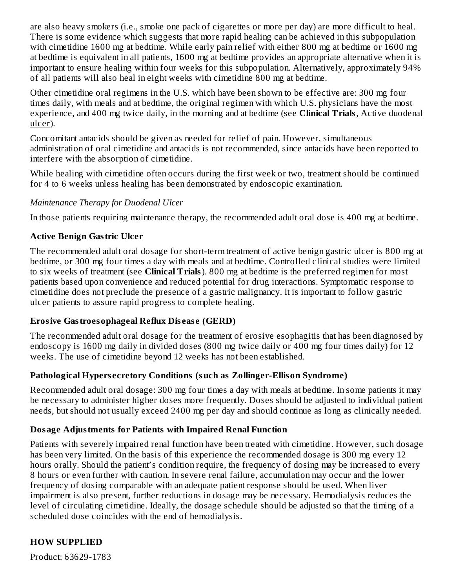are also heavy smokers (i.e., smoke one pack of cigarettes or more per day) are more difficult to heal. There is some evidence which suggests that more rapid healing can be achieved in this subpopulation with cimetidine 1600 mg at bedtime. While early pain relief with either 800 mg at bedtime or 1600 mg at bedtime is equivalent in all patients, 1600 mg at bedtime provides an appropriate alternative when it is important to ensure healing within four weeks for this subpopulation. Alternatively, approximately 94% of all patients will also heal in eight weeks with cimetidine 800 mg at bedtime.

Other cimetidine oral regimens in the U.S. which have been shown to be effective are: 300 mg four times daily, with meals and at bedtime, the original regimen with which U.S. physicians have the most experience, and 400 mg twice daily, in the morning and at bedtime (see **Clinical Trials**, Active duodenal ulcer).

Concomitant antacids should be given as needed for relief of pain. However, simultaneous administration of oral cimetidine and antacids is not recommended, since antacids have been reported to interfere with the absorption of cimetidine.

While healing with cimetidine often occurs during the first week or two, treatment should be continued for 4 to 6 weeks unless healing has been demonstrated by endoscopic examination.

### *Maintenance Therapy for Duodenal Ulcer*

In those patients requiring maintenance therapy, the recommended adult oral dose is 400 mg at bedtime.

### **Active Benign Gastric Ulcer**

The recommended adult oral dosage for short-term treatment of active benign gastric ulcer is 800 mg at bedtime, or 300 mg four times a day with meals and at bedtime. Controlled clinical studies were limited to six weeks of treatment (see **Clinical Trials**). 800 mg at bedtime is the preferred regimen for most patients based upon convenience and reduced potential for drug interactions. Symptomatic response to cimetidine does not preclude the presence of a gastric malignancy. It is important to follow gastric ulcer patients to assure rapid progress to complete healing.

#### **Erosive Gastroesophageal Reflux Dis eas e (GERD)**

The recommended adult oral dosage for the treatment of erosive esophagitis that has been diagnosed by endoscopy is 1600 mg daily in divided doses (800 mg twice daily or 400 mg four times daily) for 12 weeks. The use of cimetidine beyond 12 weeks has not been established.

#### **Pathological Hypers ecretory Conditions (such as Zollinger-Ellison Syndrome)**

Recommended adult oral dosage: 300 mg four times a day with meals at bedtime. In some patients it may be necessary to administer higher doses more frequently. Doses should be adjusted to individual patient needs, but should not usually exceed 2400 mg per day and should continue as long as clinically needed.

#### **Dosage Adjustments for Patients with Impaired Renal Function**

Patients with severely impaired renal function have been treated with cimetidine. However, such dosage has been very limited. On the basis of this experience the recommended dosage is 300 mg every 12 hours orally. Should the patient's condition require, the frequency of dosing may be increased to every 8 hours or even further with caution. In severe renal failure, accumulation may occur and the lower frequency of dosing comparable with an adequate patient response should be used. When liver impairment is also present, further reductions in dosage may be necessary. Hemodialysis reduces the level of circulating cimetidine. Ideally, the dosage schedule should be adjusted so that the timing of a scheduled dose coincides with the end of hemodialysis.

## **HOW SUPPLIED**

Product: 63629-1783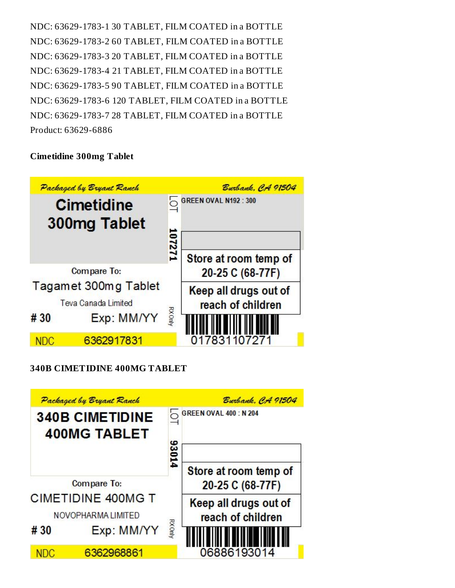NDC: 63629-1783-1 30 TABLET, FILM COATED in a BOTTLE NDC: 63629-1783-2 60 TABLET, FILM COATED in a BOTTLE NDC: 63629-1783-3 20 TABLET, FILM COATED in a BOTTLE NDC: 63629-1783-4 21 TABLET, FILM COATED in a BOTTLE NDC: 63629-1783-5 90 TABLET, FILM COATED in a BOTTLE NDC: 63629-1783-6 120 TABLET, FILM COATED in a BOTTLE NDC: 63629-1783-7 28 TABLET, FILM COATED in a BOTTLE Product: 63629-6886

#### **Cimetidine 300mg Tablet**



#### **340B CIMETIDINE 400MG TABLET**

|                                                 | Packaged by Bryant Ranch |               | Burbank, CA 91504                          |
|-------------------------------------------------|--------------------------|---------------|--------------------------------------------|
| <b>340B CIMETIDINE</b>                          |                          |               | <b>GREEN OVAL 400 : N 204</b>              |
|                                                 | <b>400MG TABLET</b>      | 93014         |                                            |
| Compare To:                                     |                          |               | Store at room temp of<br>20-25 C (68-77F)  |
| <b>CIMETIDINE 400MG T</b><br>NOVOPHARMA LIMITED |                          |               | Keep all drugs out of<br>reach of children |
| #30                                             | Exp: MM/YY               | <b>RXGnly</b> |                                            |
| NDC                                             | 6362968861               |               | 06886193014                                |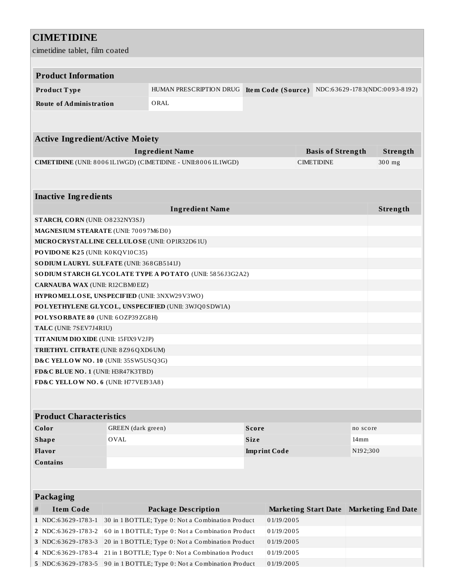## **CIMETIDINE**

cimetidine tablet, film coated

| Cimendine tablet, Tilli Coated |                                                                                         |                                                              |                     |                             |                  |                               |
|--------------------------------|-----------------------------------------------------------------------------------------|--------------------------------------------------------------|---------------------|-----------------------------|------------------|-------------------------------|
|                                |                                                                                         |                                                              |                     |                             |                  |                               |
| <b>Product Information</b>     |                                                                                         |                                                              |                     |                             |                  |                               |
| Product Type                   |                                                                                         | HUMAN PRESCRIPTION DRUG                                      | Item Code (Source)  |                             |                  | NDC:63629-1783(NDC:0093-8192) |
| <b>Route of Administration</b> |                                                                                         | ORAL                                                         |                     |                             |                  |                               |
|                                |                                                                                         |                                                              |                     |                             |                  |                               |
|                                |                                                                                         |                                                              |                     |                             |                  |                               |
|                                | <b>Active Ingredient/Active Moiety</b>                                                  |                                                              |                     |                             |                  |                               |
|                                |                                                                                         | <b>Ingredient Name</b>                                       |                     | <b>Basis of Strength</b>    |                  | Strength                      |
|                                |                                                                                         | CIMETIDINE (UNII: 80061L1WGD) (CIMETIDINE - UNII:80061L1WGD) |                     | <b>CIMETIDINE</b>           |                  | 300 mg                        |
|                                |                                                                                         |                                                              |                     |                             |                  |                               |
|                                |                                                                                         |                                                              |                     |                             |                  |                               |
| <b>Inactive Ingredients</b>    |                                                                                         |                                                              |                     |                             |                  |                               |
|                                |                                                                                         | <b>Ingredient Name</b>                                       |                     |                             |                  | Strength                      |
|                                | <b>STARCH, CORN (UNII: O8232NY3SJ)</b>                                                  |                                                              |                     |                             |                  |                               |
|                                | MAGNESIUM STEARATE (UNII: 70097M6I30)<br>MICRO CRYSTALLINE CELLULOSE (UNII: OP1R32D61U) |                                                              |                     |                             |                  |                               |
|                                | PO VIDONE K25 (UNII: K0 KQV10C35)                                                       |                                                              |                     |                             |                  |                               |
|                                | SO DIUM LAURYL SULFATE (UNII: 368GB5141J)                                               |                                                              |                     |                             |                  |                               |
|                                |                                                                                         | SODIUM STARCH GLYCOLATE TYPE A POTATO (UNII: 5856J3G2A2)     |                     |                             |                  |                               |
|                                | <b>CARNAUBA WAX (UNII: R12CBM0EIZ)</b>                                                  |                                                              |                     |                             |                  |                               |
|                                | HYPROMELLOSE, UNSPECIFIED (UNII: 3NXW29V3WO)                                            |                                                              |                     |                             |                  |                               |
|                                |                                                                                         | POLYETHYLENE GLYCOL, UNSPECIFIED (UNII: 3WJQ0SDW1A)          |                     |                             |                  |                               |
|                                | POLYSORBATE 80 (UNII: 6OZP39ZG8H)                                                       |                                                              |                     |                             |                  |                               |
| TALC (UNII: 7SEV7J4R1U)        |                                                                                         |                                                              |                     |                             |                  |                               |
|                                | <b>TITANIUM DIO XIDE</b> (UNII: 15FIX9V2JP)                                             |                                                              |                     |                             |                  |                               |
|                                | <b>TRIETHYL CITRATE (UNII: 8Z96QXD6UM)</b>                                              |                                                              |                     |                             |                  |                               |
|                                | D&C YELLOW NO. 10 (UNII: 35SW5USQ3G)                                                    |                                                              |                     |                             |                  |                               |
|                                | FD&C BLUE NO. 1 (UNII: H3R47K3TBD)                                                      |                                                              |                     |                             |                  |                               |
|                                | FD&C YELLOW NO. 6 (UNII: H77VEI93A8)                                                    |                                                              |                     |                             |                  |                               |
|                                |                                                                                         |                                                              |                     |                             |                  |                               |
| <b>Product Characteristics</b> |                                                                                         |                                                              |                     |                             |                  |                               |
| Color                          | GREEN (dark green)                                                                      |                                                              | <b>Score</b>        |                             | no score         |                               |
| <b>Shape</b>                   | <b>OVAL</b>                                                                             |                                                              | Size                |                             | 14 <sub>mm</sub> |                               |
| Flavor                         |                                                                                         |                                                              | <b>Imprint Code</b> |                             | N192;300         |                               |
| <b>Contains</b>                |                                                                                         |                                                              |                     |                             |                  |                               |
|                                |                                                                                         |                                                              |                     |                             |                  |                               |
|                                |                                                                                         |                                                              |                     |                             |                  |                               |
| <b>Packaging</b>               |                                                                                         |                                                              |                     |                             |                  |                               |
| <b>Item Code</b><br>#          |                                                                                         | <b>Package Description</b>                                   |                     | <b>Marketing Start Date</b> |                  | <b>Marketing End Date</b>     |
| 1 NDC:63629-1783-1             |                                                                                         | 30 in 1 BOTTLE; Type 0: Not a Combination Product            | 01/19/2005          |                             |                  |                               |
| 2 NDC:63629-1783-2             |                                                                                         | 60 in 1 BOTTLE; Type 0: Not a Combination Product            | 01/19/2005          |                             |                  |                               |
| 3 NDC:63629-1783-3             |                                                                                         | 20 in 1 BOTTLE; Type 0: Not a Combination Product            | 01/19/2005          |                             |                  |                               |
| 4 NDC:63629-1783-4             |                                                                                         | 21 in 1 BOTTLE; Type 0: Not a Combination Product            | 01/19/2005          |                             |                  |                               |
|                                |                                                                                         |                                                              |                     |                             |                  |                               |

**5** NDC:63629-1783-5 90 in 1 BOTTLE; Type 0: Not a Combination Product 0 1/19/2005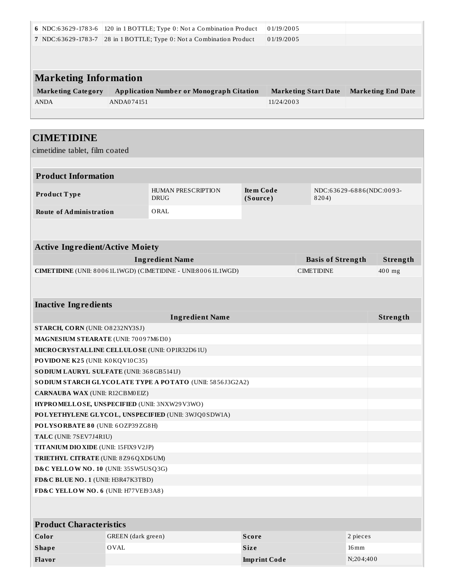| 6 NDC:63629-1783-6                              |                    | 120 in 1 BOTTLE; Type 0: Not a Combination Product                                 |              | 01/19/2005 |  |                          |                           |          |
|-------------------------------------------------|--------------------|------------------------------------------------------------------------------------|--------------|------------|--|--------------------------|---------------------------|----------|
|                                                 |                    | 7 NDC:63629-1783-7 28 in 1 BOTTLE; Type 0: Not a Combination Product<br>01/19/2005 |              |            |  |                          |                           |          |
|                                                 |                    |                                                                                    |              |            |  |                          |                           |          |
|                                                 |                    |                                                                                    |              |            |  |                          |                           |          |
|                                                 |                    |                                                                                    |              |            |  |                          |                           |          |
| <b>Marketing Information</b>                    |                    |                                                                                    |              |            |  |                          |                           |          |
| <b>Marketing Category</b>                       |                    | <b>Application Number or Monograph Citation</b><br><b>Marketing Start Date</b>     |              |            |  |                          | <b>Marketing End Date</b> |          |
| <b>ANDA</b>                                     | ANDA074151         |                                                                                    |              | 11/24/2003 |  |                          |                           |          |
|                                                 |                    |                                                                                    |              |            |  |                          |                           |          |
|                                                 |                    |                                                                                    |              |            |  |                          |                           |          |
| <b>CIMETIDINE</b>                               |                    |                                                                                    |              |            |  |                          |                           |          |
| cimetidine tablet, film coated                  |                    |                                                                                    |              |            |  |                          |                           |          |
|                                                 |                    |                                                                                    |              |            |  |                          |                           |          |
| <b>Product Information</b>                      |                    |                                                                                    |              |            |  |                          |                           |          |
|                                                 |                    | <b>HUMAN PRESCRIPTION</b>                                                          | Item Code    |            |  | NDC:63629-6886(NDC:0093- |                           |          |
| Product Type                                    |                    | <b>DRUG</b>                                                                        | (Source)     |            |  | 8204)                    |                           |          |
| <b>Route of Administration</b>                  |                    | ORAL                                                                               |              |            |  |                          |                           |          |
|                                                 |                    |                                                                                    |              |            |  |                          |                           |          |
|                                                 |                    |                                                                                    |              |            |  |                          |                           |          |
| <b>Active Ingredient/Active Moiety</b>          |                    |                                                                                    |              |            |  |                          |                           |          |
|                                                 |                    | <b>Ingredient Name</b>                                                             |              |            |  | <b>Basis of Strength</b> |                           | Strength |
|                                                 |                    | CIMETIDINE (UNII: 80061L1WGD) (CIMETIDINE - UNII:80061L1WGD)                       |              |            |  | <b>CIMETIDINE</b>        |                           | 400 mg   |
|                                                 |                    |                                                                                    |              |            |  |                          |                           |          |
|                                                 |                    |                                                                                    |              |            |  |                          |                           |          |
| <b>Inactive Ingredients</b>                     |                    |                                                                                    |              |            |  |                          |                           |          |
|                                                 |                    | <b>Ingredient Name</b>                                                             |              |            |  |                          |                           | Strength |
| STARCH, CORN (UNII: O8232NY3SJ)                 |                    |                                                                                    |              |            |  |                          |                           |          |
| MAGNESIUM STEARATE (UNII: 70097M6I30)           |                    |                                                                                    |              |            |  |                          |                           |          |
| MICRO CRYSTALLINE CELLULO SE (UNII: OP1R32D61U) |                    |                                                                                    |              |            |  |                          |                           |          |
| PO VIDO NE K25 (UNII: K0 KQ V10 C35)            |                    |                                                                                    |              |            |  |                          |                           |          |
| SO DIUM LAURYL SULFATE (UNII: 368GB5141J)       |                    |                                                                                    |              |            |  |                          |                           |          |
|                                                 |                    | SO DIUM STARCH GLYCOLATE TYPE A POTATO (UNII: 5856J3G2A2)                          |              |            |  |                          |                           |          |
| CARNAUBA WAX (UNII: R12CBM0EIZ)                 |                    |                                                                                    |              |            |  |                          |                           |          |
| HYPROMELLOSE, UNSPECIFIED (UNII: 3NXW29V3WO)    |                    |                                                                                    |              |            |  |                          |                           |          |
|                                                 |                    | POLYETHYLENE GLYCOL, UNSPECIFIED (UNII: 3WJQ0SDW1A)                                |              |            |  |                          |                           |          |
| POLYSORBATE 80 (UNII: 6OZP39ZG8H)               |                    |                                                                                    |              |            |  |                          |                           |          |
| TALC (UNII: 7SEV7J4R1U)                         |                    |                                                                                    |              |            |  |                          |                           |          |
| TITANIUM DIO XIDE (UNII: 15FIX9V2JP)            |                    |                                                                                    |              |            |  |                          |                           |          |
| TRIETHYL CITRATE (UNII: 8Z96QXD6UM)             |                    |                                                                                    |              |            |  |                          |                           |          |
| D&C YELLOW NO. 10 (UNII: 35SW5USQ3G)            |                    |                                                                                    |              |            |  |                          |                           |          |
| FD&C BLUE NO. 1 (UNII: H3R47K3TBD)              |                    |                                                                                    |              |            |  |                          |                           |          |
| FD&C YELLOW NO. 6 (UNII: H77VEI93A8)            |                    |                                                                                    |              |            |  |                          |                           |          |
|                                                 |                    |                                                                                    |              |            |  |                          |                           |          |
|                                                 |                    |                                                                                    |              |            |  |                          |                           |          |
| <b>Product Characteristics</b>                  |                    |                                                                                    |              |            |  |                          |                           |          |
| Color                                           | GREEN (dark green) |                                                                                    | <b>Score</b> |            |  |                          | 2 pieces                  |          |
| <b>Shape</b>                                    | <b>OVAL</b>        |                                                                                    | <b>Size</b>  |            |  |                          | $16 \,\mathrm{mm}$        |          |
| Flavor<br><b>Imprint Code</b><br>N;204;400      |                    |                                                                                    |              |            |  |                          |                           |          |